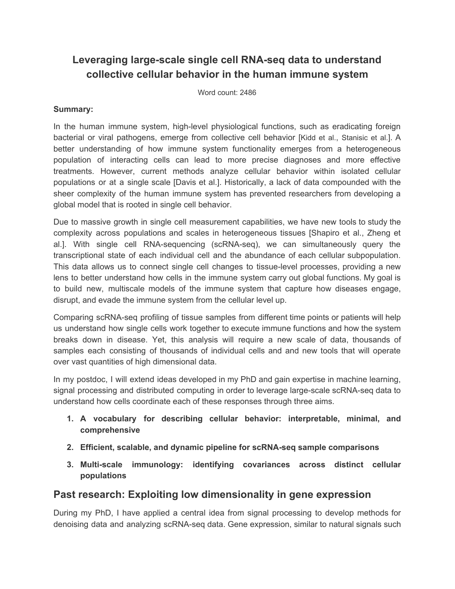# **Leveraging large-scale single cell RNA-seq data to understand collective cellular behavior in the human immune system**

Word count: 2486

#### **Summary:**

In the human immune system, high-level physiological functions, such as eradicating foreign bacterial or viral pathogens, emerge from collective cell behavior [Kidd et al., Stanisic et al.]. A better understanding of how immune system functionality emerges from a heterogeneous population of interacting cells can lead to more precise diagnoses and more effective treatments. However, current methods analyze cellular behavior within isolated cellular populations or at a single scale [Davis et al.]. Historically, a lack of data compounded with the sheer complexity of the human immune system has prevented researchers from developing a global model that is rooted in single cell behavior.

Due to massive growth in single cell measurement capabilities, we have new tools to study the complexity across populations and scales in heterogeneous tissues [Shapiro et al., Zheng et al.]. With single cell RNA-sequencing (scRNA-seq), we can simultaneously query the transcriptional state of each individual cell and the abundance of each cellular subpopulation. This data allows us to connect single cell changes to tissue-level processes, providing a new lens to better understand how cells in the immune system carry out global functions. My goal is to build new, multiscale models of the immune system that capture how diseases engage, disrupt, and evade the immune system from the cellular level up.

Comparing scRNA-seq profiling of tissue samples from different time points or patients will help us understand how single cells work together to execute immune functions and how the system breaks down in disease. Yet, this analysis will require a new scale of data, thousands of samples each consisting of thousands of individual cells and and new tools that will operate over vast quantities of high dimensional data.

In my postdoc, I will extend ideas developed in my PhD and gain expertise in machine learning, signal processing and distributed computing in order to leverage large-scale scRNA-seq data to understand how cells coordinate each of these responses through three aims.

- **1. A vocabulary for describing cellular behavior: interpretable, minimal, and comprehensive**
- **2. Efficient, scalable, and dynamic pipeline for scRNA-seq sample comparisons**
- **3. Multi-scale immunology: identifying covariances across distinct cellular populations**

#### **Past research: Exploiting low dimensionality in gene expression**

During my PhD, I have applied a central idea from signal processing to develop methods for denoising data and analyzing scRNA-seq data. Gene expression, similar to natural signals such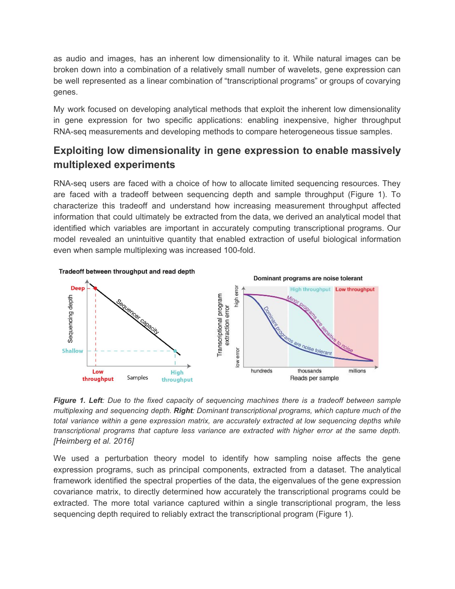as audio and images, has an inherent low dimensionality to it. While natural images can be broken down into a combination of a relatively small number of wavelets, gene expression can be well represented as a linear combination of "transcriptional programs" or groups of covarying genes.

My work focused on developing analytical methods that exploit the inherent low dimensionality in gene expression for two specific applications: enabling inexpensive, higher throughput RNA-seq measurements and developing methods to compare heterogeneous tissue samples.

# **Exploiting low dimensionality in gene expression to enable massively multiplexed experiments**

RNA-seq users are faced with a choice of how to allocate limited sequencing resources. They are faced with a tradeoff between sequencing depth and sample throughput (Figure 1). To characterize this tradeoff and understand how increasing measurement throughput affected information that could ultimately be extracted from the data, we derived an analytical model that identified which variables are important in accurately computing transcriptional programs. Our model revealed an unintuitive quantity that enabled extraction of useful biological information even when sample multiplexing was increased 100-fold.



Figure 1. Left: Due to the fixed capacity of sequencing machines there is a tradeoff between sample *multiplexing and sequencing depth. Right: Dominant transcriptional programs, which capture much of the total variance within a gene expression matrix, are accurately extracted at low sequencing depths while transcriptional programs that capture less variance are extracted with higher error at the same depth. [Heimberg et al. 2016]*

We used a perturbation theory model to identify how sampling noise affects the gene expression programs, such as principal components, extracted from a dataset. The analytical framework identified the spectral properties of the data, the eigenvalues of the gene expression covariance matrix, to directly determined how accurately the transcriptional programs could be extracted. The more total variance captured within a single transcriptional program, the less sequencing depth required to reliably extract the transcriptional program (Figure 1).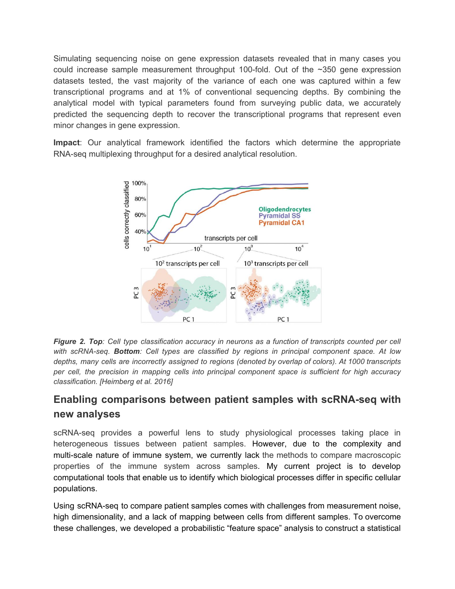Simulating sequencing noise on gene expression datasets revealed that in many cases you could increase sample measurement throughput 100-fold. Out of the ~350 gene expression datasets tested, the vast majority of the variance of each one was captured within a few transcriptional programs and at 1% of conventional sequencing depths. By combining the analytical model with typical parameters found from surveying public data, we accurately predicted the sequencing depth to recover the transcriptional programs that represent even minor changes in gene expression.

**Impact**: Our analytical framework identified the factors which determine the appropriate RNA-seq multiplexing throughput for a desired analytical resolution.



Figure 2. Top: Cell type classification accuracy in neurons as a function of transcripts counted per cell *with scRNA-seq. Bottom: Cell types are classified by regions in principal component space. At low depths, many cells are incorrectly assigned to regions (denoted by overlap of colors). At 1000 transcripts per cell, the precision in mapping cells into principal component space is sufficient for high accuracy classification. [Heimberg et al. 2016]*

# **Enabling comparisons between patient samples with scRNA-seq with new analyses**

scRNA-seq provides a powerful lens to study physiological processes taking place in heterogeneous tissues between patient samples. However, due to the complexity and multi-scale nature of immune system, we currently lack the methods to compare macroscopic properties of the immune system across samples. My current project is to develop computational tools that enable us to identify which biological processes differ in specific cellular populations.

Using scRNA-seq to compare patient samples comes with challenges from measurement noise, high dimensionality, and a lack of mapping between cells from different samples. To overcome these challenges, we developed a probabilistic "feature space" analysis to construct a statistical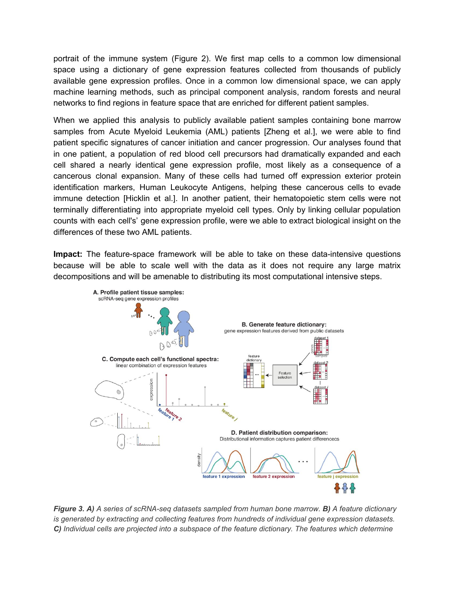portrait of the immune system (Figure 2). We first map cells to a common low dimensional space using a dictionary of gene expression features collected from thousands of publicly available gene expression profiles. Once in a common low dimensional space, we can apply machine learning methods, such as principal component analysis, random forests and neural networks to find regions in feature space that are enriched for different patient samples.

When we applied this analysis to publicly available patient samples containing bone marrow samples from Acute Myeloid Leukemia (AML) patients [Zheng et al.], we were able to find patient specific signatures of cancer initiation and cancer progression. Our analyses found that in one patient, a population of red blood cell precursors had dramatically expanded and each cell shared a nearly identical gene expression profile, most likely as a consequence of a cancerous clonal expansion. Many of these cells had turned off expression exterior protein identification markers, Human Leukocyte Antigens, helping these cancerous cells to evade immune detection [Hicklin et al.]. In another patient, their hematopoietic stem cells were not terminally differentiating into appropriate myeloid cell types. Only by linking cellular population counts with each cell's' gene expression profile, were we able to extract biological insight on the differences of these two AML patients.

**Impact:** The feature-space framework will be able to take on these data-intensive questions because will be able to scale well with the data as it does not require any large matrix decompositions and will be amenable to distributing its most computational intensive steps.



*Figure 3. A) A series of scRNA-seq datasets sampled from human bone marrow. B) A feature dictionary is generated by extracting and collecting features from hundreds of individual gene expression datasets. C) Individual cells are projected into a subspace of the feature dictionary. The features which determine*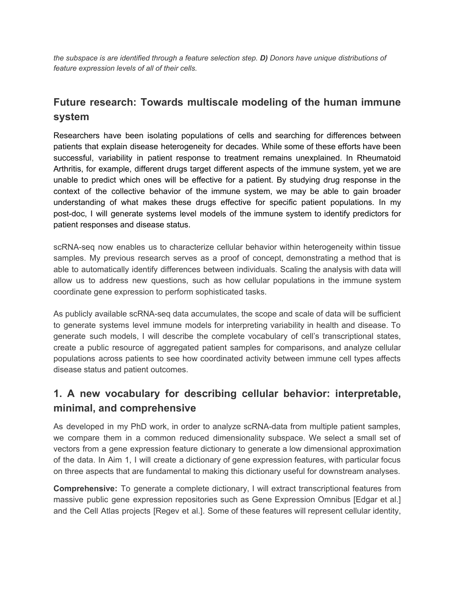*the subspace is are identified through a feature selection step. D) Donors have unique distributions of feature expression levels of all of their cells.*

# **Future research: Towards multiscale modeling of the human immune system**

Researchers have been isolating populations of cells and searching for differences between patients that explain disease heterogeneity for decades. While some of these efforts have been successful, variability in patient response to treatment remains unexplained. In Rheumatoid Arthritis, for example, different drugs target different aspects of the immune system, yet we are unable to predict which ones will be effective for a patient. By studying drug response in the context of the collective behavior of the immune system, we may be able to gain broader understanding of what makes these drugs effective for specific patient populations. In my post-doc, I will generate systems level models of the immune system to identify predictors for patient responses and disease status.

scRNA-seq now enables us to characterize cellular behavior within heterogeneity within tissue samples. My previous research serves as a proof of concept, demonstrating a method that is able to automatically identify differences between individuals. Scaling the analysis with data will allow us to address new questions, such as how cellular populations in the immune system coordinate gene expression to perform sophisticated tasks.

As publicly available scRNA-seq data accumulates, the scope and scale of data will be sufficient to generate systems level immune models for interpreting variability in health and disease. To generate such models, I will describe the complete vocabulary of cell's transcriptional states, create a public resource of aggregated patient samples for comparisons, and analyze cellular populations across patients to see how coordinated activity between immune cell types affects disease status and patient outcomes.

# **1. A new vocabulary for describing cellular behavior: interpretable, minimal, and comprehensive**

As developed in my PhD work, in order to analyze scRNA-data from multiple patient samples, we compare them in a common reduced dimensionality subspace. We select a small set of vectors from a gene expression feature dictionary to generate a low dimensional approximation of the data. In Aim 1, I will create a dictionary of gene expression features, with particular focus on three aspects that are fundamental to making this dictionary useful for downstream analyses.

**Comprehensive:** To generate a complete dictionary, I will extract transcriptional features from massive public gene expression repositories such as Gene Expression Omnibus [Edgar et al.] and the Cell Atlas projects [Regev et al.]. Some of these features will represent cellular identity,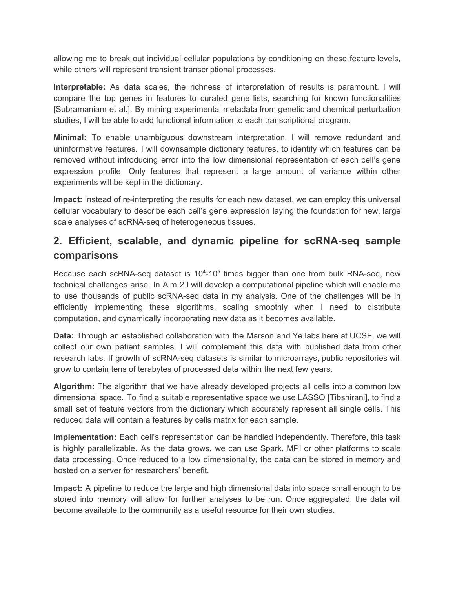allowing me to break out individual cellular populations by conditioning on these feature levels, while others will represent transient transcriptional processes.

**Interpretable:** As data scales, the richness of interpretation of results is paramount. I will compare the top genes in features to curated gene lists, searching for known functionalities [Subramaniam et al.]. By mining experimental metadata from genetic and chemical perturbation studies, I will be able to add functional information to each transcriptional program.

**Minimal:** To enable unambiguous downstream interpretation, I will remove redundant and uninformative features. I will downsample dictionary features, to identify which features can be removed without introducing error into the low dimensional representation of each cell's gene expression profile. Only features that represent a large amount of variance within other experiments will be kept in the dictionary.

**Impact:** Instead of re-interpreting the results for each new dataset, we can employ this universal cellular vocabulary to describe each cell's gene expression laying the foundation for new, large scale analyses of scRNA-seq of heterogeneous tissues.

# **2. Efficient, scalable, and dynamic pipeline for scRNA-seq sample comparisons**

Because each scRNA-seq dataset is 10<sup>4</sup>-10<sup>5</sup> times bigger than one from bulk RNA-seq, new technical challenges arise. In Aim 2 I will develop a computational pipeline which will enable me to use thousands of public scRNA-seq data in my analysis. One of the challenges will be in efficiently implementing these algorithms, scaling smoothly when I need to distribute computation, and dynamically incorporating new data as it becomes available.

**Data:** Through an established collaboration with the Marson and Ye labs here at UCSF, we will collect our own patient samples. I will complement this data with published data from other research labs. If growth of scRNA-seq datasets is similar to microarrays, public repositories will grow to contain tens of terabytes of processed data within the next few years.

**Algorithm:** The algorithm that we have already developed projects all cells into a common low dimensional space. To find a suitable representative space we use LASSO [Tibshirani], to find a small set of feature vectors from the dictionary which accurately represent all single cells. This reduced data will contain a features by cells matrix for each sample.

**Implementation:** Each cell's representation can be handled independently. Therefore, this task is highly parallelizable. As the data grows, we can use Spark, MPI or other platforms to scale data processing. Once reduced to a low dimensionality, the data can be stored in memory and hosted on a server for researchers' benefit.

**Impact:** A pipeline to reduce the large and high dimensional data into space small enough to be stored into memory will allow for further analyses to be run. Once aggregated, the data will become available to the community as a useful resource for their own studies.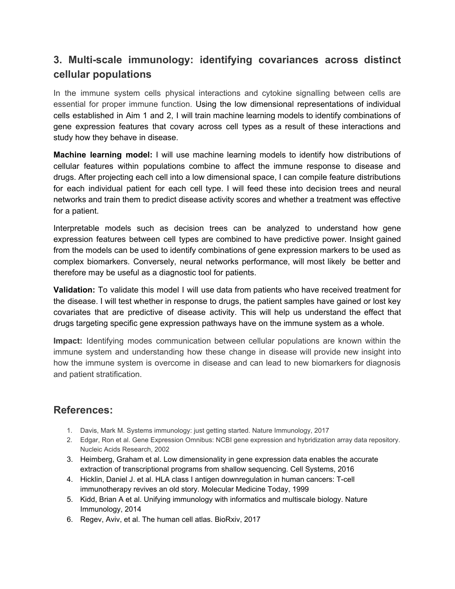# **3. Multi-scale immunology: identifying covariances across distinct cellular populations**

In the immune system cells physical interactions and cytokine signalling between cells are essential for proper immune function. Using the low dimensional representations of individual cells established in Aim 1 and 2, I will train machine learning models to identify combinations of gene expression features that covary across cell types as a result of these interactions and study how they behave in disease.

**Machine learning model:** I will use machine learning models to identify how distributions of cellular features within populations combine to affect the immune response to disease and drugs. After projecting each cell into a low dimensional space, I can compile feature distributions for each individual patient for each cell type. I will feed these into decision trees and neural networks and train them to predict disease activity scores and whether a treatment was effective for a patient.

Interpretable models such as decision trees can be analyzed to understand how gene expression features between cell types are combined to have predictive power. Insight gained from the models can be used to identify combinations of gene expression markers to be used as complex biomarkers. Conversely, neural networks performance, will most likely be better and therefore may be useful as a diagnostic tool for patients.

**Validation:** To validate this model I will use data from patients who have received treatment for the disease. I will test whether in response to drugs, the patient samples have gained or lost key covariates that are predictive of disease activity. This will help us understand the effect that drugs targeting specific gene expression pathways have on the immune system as a whole.

**Impact:** Identifying modes communication between cellular populations are known within the immune system and understanding how these change in disease will provide new insight into how the immune system is overcome in disease and can lead to new biomarkers for diagnosis and patient stratification.

#### **References:**

- 1. Davis, Mark M. Systems immunology: just getting started. Nature Immunology, 2017
- 2. Edgar, Ron et al. Gene Expression Omnibus: NCBI gene expression and hybridization array data repository. Nucleic Acids Research, 2002
- 3. Heimberg, Graham et al. Low dimensionality in gene expression data enables the accurate extraction of transcriptional programs from shallow sequencing. Cell Systems, 2016
- 4. Hicklin, Daniel J. et al. HLA class I antigen downregulation in human cancers: T-cell immunotherapy revives an old story. Molecular Medicine Today, 1999
- 5. Kidd, Brian A et al. Unifying immunology with informatics and multiscale biology. Nature Immunology, 2014
- 6. Regev, Aviv, et al. The human cell atlas. BioRxiv, 2017